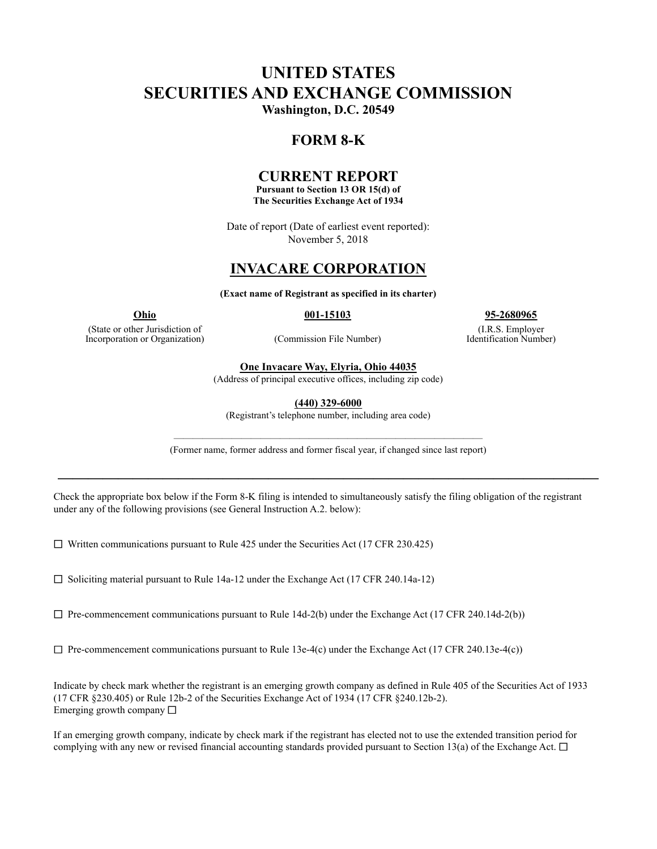# **UNITED STATES SECURITIES AND EXCHANGE COMMISSION Washington, D.C. 20549**

# **FORM 8-K**

# **CURRENT REPORT**

**Pursuant to Section 13 OR 15(d) of The Securities Exchange Act of 1934**

Date of report (Date of earliest event reported): November 5, 2018

# **INVACARE CORPORATION**

**(Exact name of Registrant as specified in its charter)**

(State or other Jurisdiction of Incorporation or Organization) (Commission File Number)

**Ohio 001-15103 95-2680965**

(I.R.S. Employer Identification Number)

**One Invacare Way, Elyria, Ohio 44035**

(Address of principal executive offices, including zip code)

**(440) 329-6000**

(Registrant's telephone number, including area code)

———————————————————————————————— (Former name, former address and former fiscal year, if changed since last report)

**————————————————————————————————————**

Check the appropriate box below if the Form 8-K filing is intended to simultaneously satisfy the filing obligation of the registrant under any of the following provisions (see General Instruction A.2. below):

 $\Box$  Written communications pursuant to Rule 425 under the Securities Act (17 CFR 230.425)

 $\Box$  Soliciting material pursuant to Rule 14a-12 under the Exchange Act (17 CFR 240.14a-12)

 $\Box$  Pre-commencement communications pursuant to Rule 14d-2(b) under the Exchange Act (17 CFR 240.14d-2(b))

 $\Box$  Pre-commencement communications pursuant to Rule 13e-4(c) under the Exchange Act (17 CFR 240.13e-4(c))

Indicate by check mark whether the registrant is an emerging growth company as defined in Rule 405 of the Securities Act of 1933 (17 CFR §230.405) or Rule 12b-2 of the Securities Exchange Act of 1934 (17 CFR §240.12b-2). Emerging growth company  $\Box$ 

If an emerging growth company, indicate by check mark if the registrant has elected not to use the extended transition period for complying with any new or revised financial accounting standards provided pursuant to Section 13(a) of the Exchange Act.  $\Box$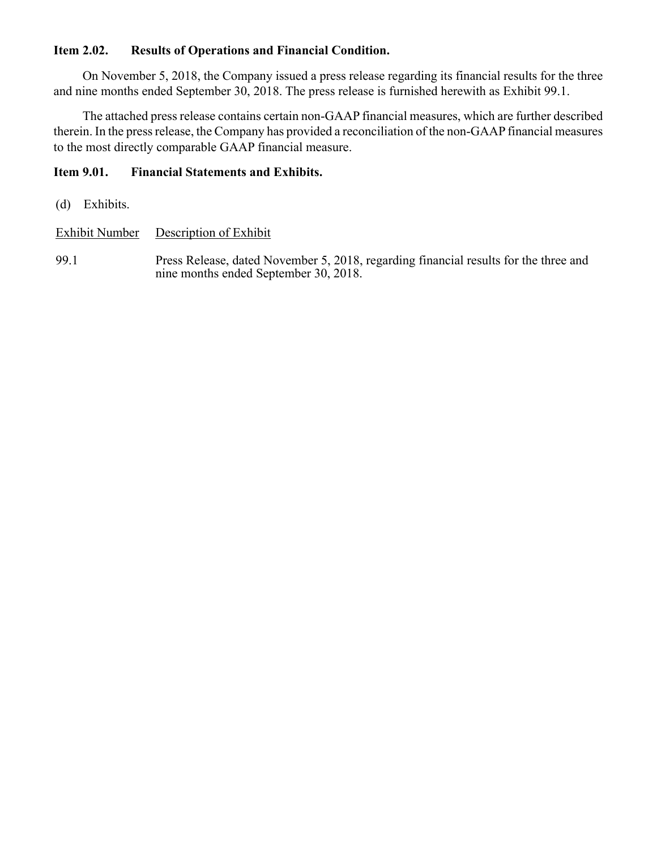# **Item 2.02. Results of Operations and Financial Condition.**

On November 5, 2018, the Company issued a press release regarding its financial results for the three and nine months ended September 30, 2018. The press release is furnished herewith as Exhibit 99.1.

The attached press release contains certain non-GAAP financial measures, which are further described therein. In the press release, the Company has provided a reconciliation of the non-GAAP financial measures to the most directly comparable GAAP financial measure.

# **Item 9.01. Financial Statements and Exhibits.**

(d) Exhibits.

Exhibit Number Description of Exhibit

99.1 Press Release, dated November 5, 2018, regarding financial results for the three and nine months ended September 30, 2018.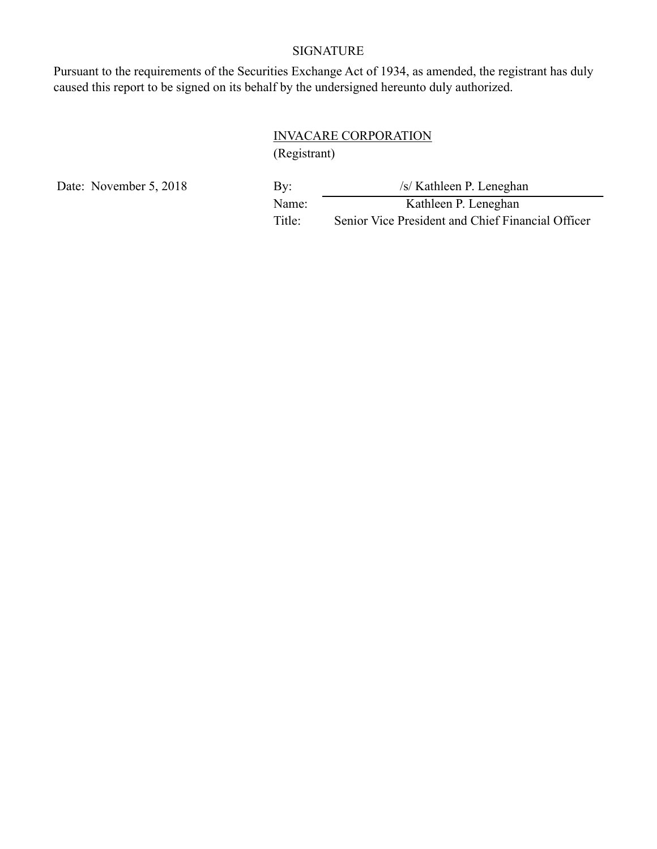# SIGNATURE

Pursuant to the requirements of the Securities Exchange Act of 1934, as amended, the registrant has duly caused this report to be signed on its behalf by the undersigned hereunto duly authorized.

# INVACARE CORPORATION

(Registrant)

Date: November 5, 2018

| By:    | /s/ Kathleen P. Leneghan                          |
|--------|---------------------------------------------------|
| Name:  | Kathleen P. Leneghan                              |
| Title: | Senior Vice President and Chief Financial Officer |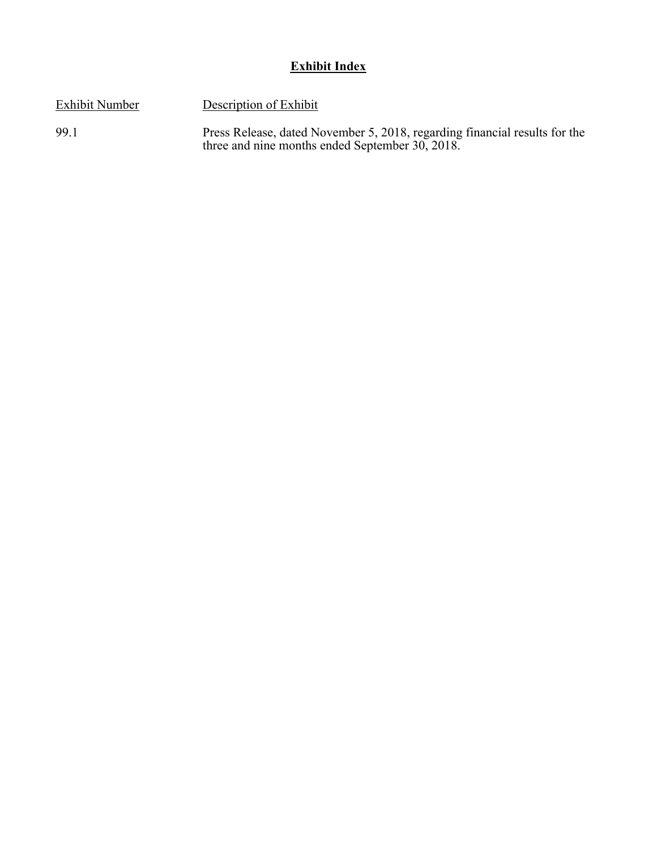# **Exhibit Index**

Exhibit Number Description of Exhibit

99.1 Press Release, dated November 5, 2018, regarding financial results for the three and nine months ended September 30, 2018.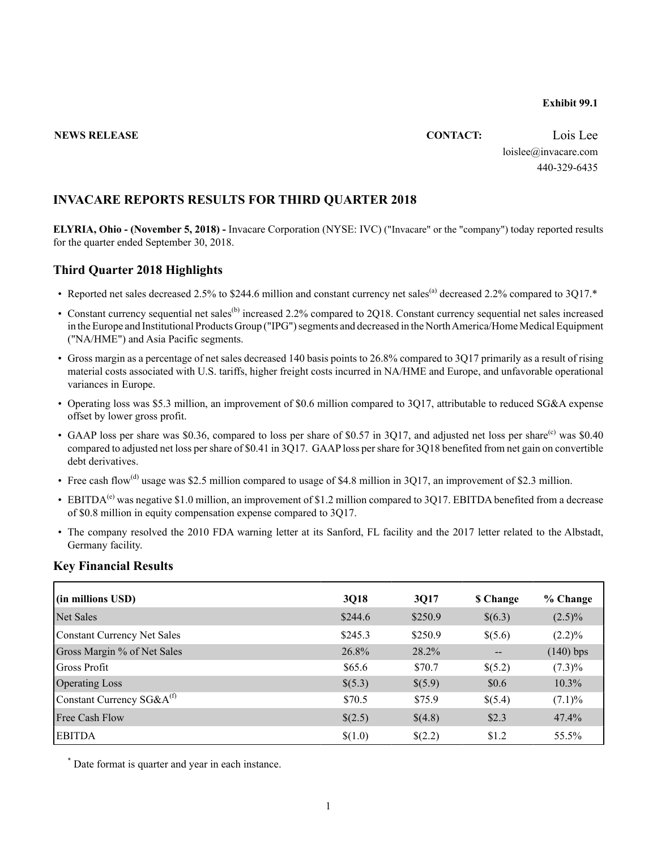#### **Exhibit 99.1**

# **NEWS RELEASE CONTACT:** Lois Lee loislee@invacare.com 440-329-6435

### **INVACARE REPORTS RESULTS FOR THIRD QUARTER 2018**

**ELYRIA, Ohio - (November 5, 2018) -** Invacare Corporation (NYSE: IVC) ("Invacare" or the "company") today reported results for the quarter ended September 30, 2018.

#### **Third Quarter 2018 Highlights**

- Reported net sales decreased 2.5% to \$244.6 million and constant currency net sales<sup>(a)</sup> decreased 2.2% compared to 3O17.\*
- Constant currency sequential net sales<sup>(b)</sup> increased 2.2% compared to 2Q18. Constant currency sequential net sales increased in the Europe and Institutional Products Group ("IPG") segments and decreased in the North America/Home Medical Equipment ("NA/HME") and Asia Pacific segments.
- Gross margin as a percentage of net sales decreased 140 basis points to 26.8% compared to 3Q17 primarily as a result of rising material costs associated with U.S. tariffs, higher freight costs incurred in NA/HME and Europe, and unfavorable operational variances in Europe.
- Operating loss was \$5.3 million, an improvement of \$0.6 million compared to 3Q17, attributable to reduced SG&A expense offset by lower gross profit.
- GAAP loss per share was \$0.36, compared to loss per share of \$0.57 in 3O17, and adjusted net loss per share<sup>(c)</sup> was \$0.40 compared to adjusted net loss per share of \$0.41 in 3Q17. GAAPloss per share for 3Q18 benefited from net gain on convertible debt derivatives.
- Free cash flow<sup>(d)</sup> usage was \$2.5 million compared to usage of \$4.8 million in 3Q17, an improvement of \$2.3 million.
- EBITDA<sup>(e)</sup> was negative \$1.0 million, an improvement of \$1.2 million compared to 3Q17. EBITDA benefited from a decrease of \$0.8 million in equity compensation expense compared to 3Q17.
- The company resolved the 2010 FDA warning letter at its Sanford, FL facility and the 2017 letter related to the Albstadt, Germany facility.

#### **Key Financial Results**

| (in millions USD)              | 3Q18    | 3Q17    | <b>S</b> Change | % Change    |
|--------------------------------|---------|---------|-----------------|-------------|
| Net Sales                      | \$244.6 | \$250.9 | \$(6.3)         | $(2.5)\%$   |
| Constant Currency Net Sales    | \$245.3 | \$250.9 | \$(5.6)         | $(2.2)\%$   |
| Gross Margin % of Net Sales    | 26.8%   | 28.2%   | $-$             | $(140)$ bps |
| Gross Profit                   | \$65.6  | \$70.7  | \$(5.2)         | $(7.3)\%$   |
| <b>Operating Loss</b>          | \$(5.3) | \$(5.9) | \$0.6           | $10.3\%$    |
| Constant Currency $SG&A^{(f)}$ | \$70.5  | \$75.9  | \$(5.4)         | $(7.1)\%$   |
| <b>Free Cash Flow</b>          | \$(2.5) | \$(4.8) | \$2.3           | 47.4%       |
| <b>EBITDA</b>                  | \$(1.0) | \$(2.2) | \$1.2           | 55.5%       |

\* Date format is quarter and year in each instance.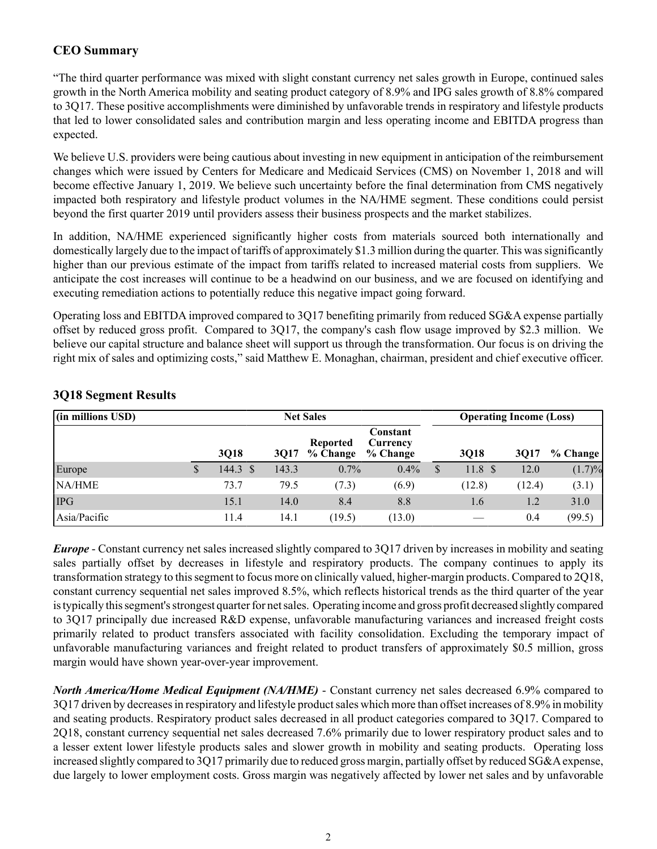# **CEO Summary**

"The third quarter performance was mixed with slight constant currency net sales growth in Europe, continued sales growth in the North America mobility and seating product category of 8.9% and IPG sales growth of 8.8% compared to 3Q17. These positive accomplishments were diminished by unfavorable trends in respiratory and lifestyle products that led to lower consolidated sales and contribution margin and less operating income and EBITDA progress than expected.

We believe U.S. providers were being cautious about investing in new equipment in anticipation of the reimbursement changes which were issued by Centers for Medicare and Medicaid Services (CMS) on November 1, 2018 and will become effective January 1, 2019. We believe such uncertainty before the final determination from CMS negatively impacted both respiratory and lifestyle product volumes in the NA/HME segment. These conditions could persist beyond the first quarter 2019 until providers assess their business prospects and the market stabilizes.

In addition, NA/HME experienced significantly higher costs from materials sourced both internationally and domestically largely due to the impact of tariffs of approximately \$1.3 million during the quarter. This was significantly higher than our previous estimate of the impact from tariffs related to increased material costs from suppliers. We anticipate the cost increases will continue to be a headwind on our business, and we are focused on identifying and executing remediation actions to potentially reduce this negative impact going forward.

Operating loss and EBITDA improved compared to 3Q17 benefiting primarily from reduced SG&A expense partially offset by reduced gross profit. Compared to 3Q17, the company's cash flow usage improved by \$2.3 million. We believe our capital structure and balance sheet will support us through the transformation. Our focus is on driving the right mix of sales and optimizing costs," said Matthew E. Monaghan, chairman, president and chief executive officer.

| (in millions USD) |          |       | <b>Net Sales</b>     | <b>Operating Income (Loss)</b>   |                         |        |          |  |  |
|-------------------|----------|-------|----------------------|----------------------------------|-------------------------|--------|----------|--|--|
|                   | 3Q18     | 3017  | Reported<br>% Change | Constant<br>Currency<br>% Change | <b>3018</b>             | 3017   | % Change |  |  |
| Europe            | 144.3 \$ | 143.3 | $0.7\%$              | 0.4%                             | \$<br>11.8 <sup>°</sup> | 12.0   | (1.7)%   |  |  |
| NA/HME            | 73.7     | 79.5  | (7.3)                | (6.9)                            | (12.8)                  | (12.4) | (3.1)    |  |  |
| <b>IPG</b>        | 15.1     | 14.0  | 8.4                  | 8.8                              | 1.6                     | 1.2    | 31.0     |  |  |
| Asia/Pacific      | 11.4     | 14.1  | (19.5)               | (13.0)                           |                         | 0.4    | (99.5)   |  |  |

## **3Q18 Segment Results**

*Europe* - Constant currency net sales increased slightly compared to 3Q17 driven by increases in mobility and seating sales partially offset by decreases in lifestyle and respiratory products. The company continues to apply its transformation strategy to this segment to focus more on clinically valued, higher-margin products. Compared to 2Q18, constant currency sequential net sales improved 8.5%, which reflects historical trends as the third quarter of the year is typically this segment's strongest quarter for net sales. Operating income and gross profit decreased slightly compared to 3Q17 principally due increased R&D expense, unfavorable manufacturing variances and increased freight costs primarily related to product transfers associated with facility consolidation. Excluding the temporary impact of unfavorable manufacturing variances and freight related to product transfers of approximately \$0.5 million, gross margin would have shown year-over-year improvement.

*North America/Home Medical Equipment (NA/HME)* - Constant currency net sales decreased 6.9% compared to 3Q17 driven by decreases in respiratory and lifestyle product sales which more than offset increases of 8.9% in mobility and seating products. Respiratory product sales decreased in all product categories compared to 3Q17. Compared to 2Q18, constant currency sequential net sales decreased 7.6% primarily due to lower respiratory product sales and to a lesser extent lower lifestyle products sales and slower growth in mobility and seating products. Operating loss increased slightly compared to 3Q17 primarily due to reduced gross margin, partially offset by reduced SG&A expense, due largely to lower employment costs. Gross margin was negatively affected by lower net sales and by unfavorable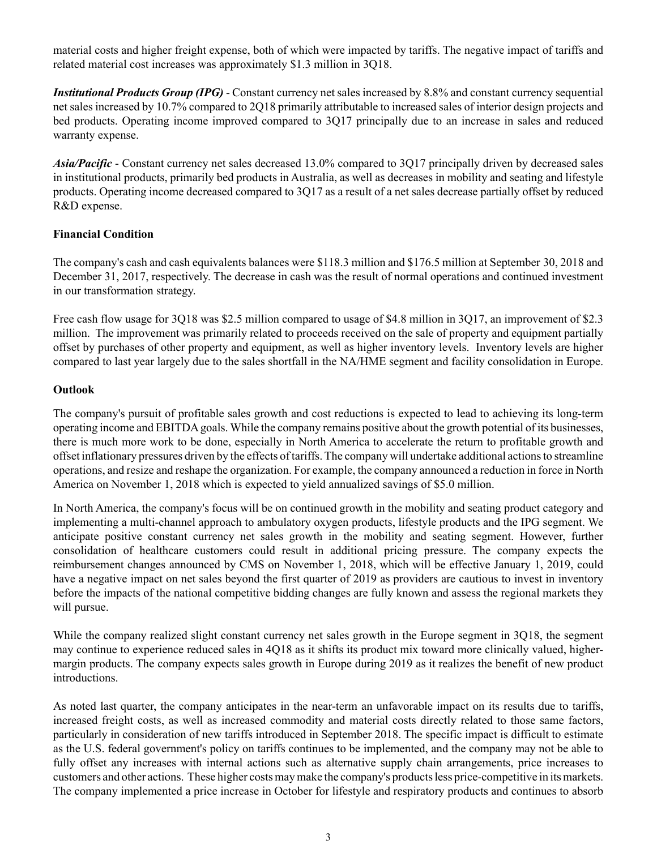material costs and higher freight expense, both of which were impacted by tariffs. The negative impact of tariffs and related material cost increases was approximately \$1.3 million in 3Q18.

*Institutional Products Group (IPG)* - Constant currency net sales increased by 8.8% and constant currency sequential net sales increased by 10.7% compared to 2Q18 primarily attributable to increased sales of interior design projects and bed products. Operating income improved compared to 3Q17 principally due to an increase in sales and reduced warranty expense.

*Asia/Pacific* - Constant currency net sales decreased 13.0% compared to 3Q17 principally driven by decreased sales in institutional products, primarily bed products in Australia, as well as decreases in mobility and seating and lifestyle products. Operating income decreased compared to 3Q17 as a result of a net sales decrease partially offset by reduced R&D expense.

#### **Financial Condition**

The company's cash and cash equivalents balances were \$118.3 million and \$176.5 million at September 30, 2018 and December 31, 2017, respectively. The decrease in cash was the result of normal operations and continued investment in our transformation strategy.

Free cash flow usage for 3Q18 was \$2.5 million compared to usage of \$4.8 million in 3Q17, an improvement of \$2.3 million. The improvement was primarily related to proceeds received on the sale of property and equipment partially offset by purchases of other property and equipment, as well as higher inventory levels. Inventory levels are higher compared to last year largely due to the sales shortfall in the NA/HME segment and facility consolidation in Europe.

#### **Outlook**

The company's pursuit of profitable sales growth and cost reductions is expected to lead to achieving its long-term operating income and EBITDAgoals. While the company remains positive about the growth potential of its businesses, there is much more work to be done, especially in North America to accelerate the return to profitable growth and offset inflationary pressures driven by the effects of tariffs. The company will undertake additional actions to streamline operations, and resize and reshape the organization. For example, the company announced a reduction in force in North America on November 1, 2018 which is expected to yield annualized savings of \$5.0 million.

In North America, the company's focus will be on continued growth in the mobility and seating product category and implementing a multi-channel approach to ambulatory oxygen products, lifestyle products and the IPG segment. We anticipate positive constant currency net sales growth in the mobility and seating segment. However, further consolidation of healthcare customers could result in additional pricing pressure. The company expects the reimbursement changes announced by CMS on November 1, 2018, which will be effective January 1, 2019, could have a negative impact on net sales beyond the first quarter of 2019 as providers are cautious to invest in inventory before the impacts of the national competitive bidding changes are fully known and assess the regional markets they will pursue.

While the company realized slight constant currency net sales growth in the Europe segment in 3Q18, the segment may continue to experience reduced sales in 4Q18 as it shifts its product mix toward more clinically valued, highermargin products. The company expects sales growth in Europe during 2019 as it realizes the benefit of new product introductions.

As noted last quarter, the company anticipates in the near-term an unfavorable impact on its results due to tariffs, increased freight costs, as well as increased commodity and material costs directly related to those same factors, particularly in consideration of new tariffs introduced in September 2018. The specific impact is difficult to estimate as the U.S. federal government's policy on tariffs continues to be implemented, and the company may not be able to fully offset any increases with internal actions such as alternative supply chain arrangements, price increases to customers and other actions. These higher costs may make the company's products less price-competitive in its markets. The company implemented a price increase in October for lifestyle and respiratory products and continues to absorb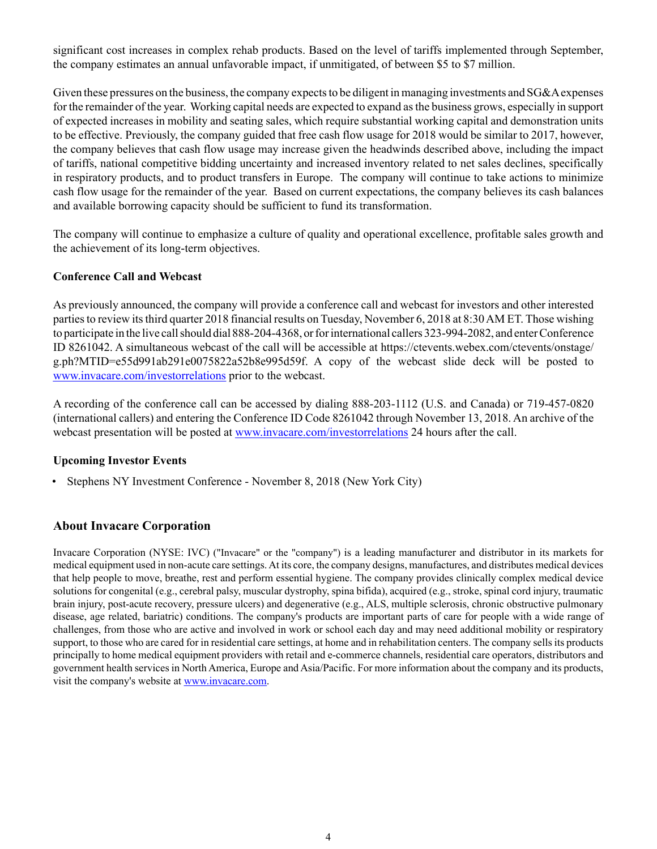significant cost increases in complex rehab products. Based on the level of tariffs implemented through September, the company estimates an annual unfavorable impact, if unmitigated, of between \$5 to \$7 million.

Given these pressures on the business, the company expects to be diligent in managing investments and SG&A expenses for the remainder of the year. Working capital needs are expected to expand as the business grows, especially in support of expected increases in mobility and seating sales, which require substantial working capital and demonstration units to be effective. Previously, the company guided that free cash flow usage for 2018 would be similar to 2017, however, the company believes that cash flow usage may increase given the headwinds described above, including the impact of tariffs, national competitive bidding uncertainty and increased inventory related to net sales declines, specifically in respiratory products, and to product transfers in Europe. The company will continue to take actions to minimize cash flow usage for the remainder of the year. Based on current expectations, the company believes its cash balances and available borrowing capacity should be sufficient to fund its transformation.

The company will continue to emphasize a culture of quality and operational excellence, profitable sales growth and the achievement of its long-term objectives.

#### **Conference Call and Webcast**

As previously announced, the company will provide a conference call and webcast for investors and other interested parties to review its third quarter 2018 financial results on Tuesday, November 6, 2018 at 8:30 AM ET. Those wishing to participate in the live call should dial 888-204-4368, or for international callers 323-994-2082, and enter Conference ID 8261042. A simultaneous webcast of the call will be accessible at https://ctevents.webex.com/ctevents/onstage/ g.ph?MTID=e55d991ab291e0075822a52b8e995d59f. A copy of the webcast slide deck will be posted to www.invacare.com/investorrelations prior to the webcast.

A recording of the conference call can be accessed by dialing 888-203-1112 (U.S. and Canada) or 719-457-0820 (international callers) and entering the Conference ID Code 8261042 through November 13, 2018. An archive of the webcast presentation will be posted at www.invacare.com/investorrelations 24 hours after the call.

### **Upcoming Investor Events**

• Stephens NY Investment Conference - November 8, 2018 (New York City)

### **About Invacare Corporation**

Invacare Corporation (NYSE: IVC) ("Invacare" or the "company") is a leading manufacturer and distributor in its markets for medical equipment used in non-acute care settings. At its core, the company designs, manufactures, and distributes medical devices that help people to move, breathe, rest and perform essential hygiene. The company provides clinically complex medical device solutions for congenital (e.g., cerebral palsy, muscular dystrophy, spina bifida), acquired (e.g., stroke, spinal cord injury, traumatic brain injury, post-acute recovery, pressure ulcers) and degenerative (e.g., ALS, multiple sclerosis, chronic obstructive pulmonary disease, age related, bariatric) conditions. The company's products are important parts of care for people with a wide range of challenges, from those who are active and involved in work or school each day and may need additional mobility or respiratory support, to those who are cared for in residential care settings, at home and in rehabilitation centers. The company sells its products principally to home medical equipment providers with retail and e-commerce channels, residential care operators, distributors and government health services in North America, Europe and Asia/Pacific. For more information about the company and its products, visit the company's website at www.invacare.com.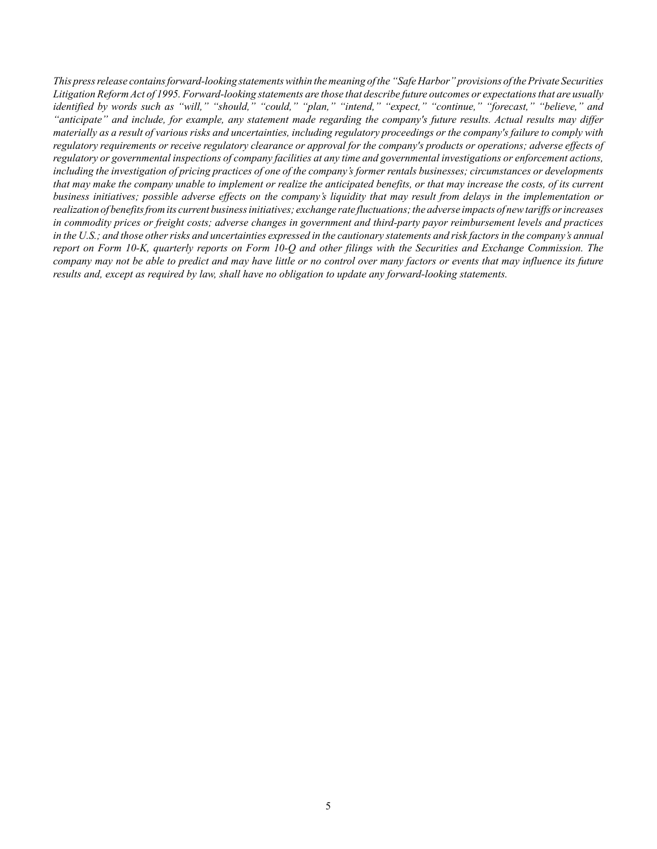*This press release contains forward-looking statements within the meaning of the "Safe Harbor" provisions of the Private Securities Litigation Reform Act of 1995. Forward-looking statements are those that describe future outcomes or expectations that are usually identified by words such as "will," "should," "could," "plan," "intend," "expect," "continue," "forecast," "believe," and "anticipate" and include, for example, any statement made regarding the company's future results. Actual results may differ materially as a result of various risks and uncertainties, including regulatory proceedings or the company's failure to comply with regulatory requirements or receive regulatory clearance or approval for the company's products or operations; adverse effects of regulatory or governmental inspections of company facilities at any time and governmental investigations or enforcement actions, including the investigation of pricing practices of one of the company's former rentals businesses; circumstances or developments that may make the company unable to implement or realize the anticipated benefits, or that may increase the costs, of its current business initiatives; possible adverse effects on the company's liquidity that may result from delays in the implementation or realization of benefits from its current business initiatives; exchange rate fluctuations; the adverse impacts of new tariffs or increases in commodity prices or freight costs; adverse changes in government and third-party payor reimbursement levels and practices in the U.S.; and those other risks and uncertainties expressed in the cautionary statements and risk factors in the company's annual report on Form 10-K, quarterly reports on Form 10-Q and other filings with the Securities and Exchange Commission. The company may not be able to predict and may have little or no control over many factors or events that may influence its future results and, except as required by law, shall have no obligation to update any forward-looking statements.*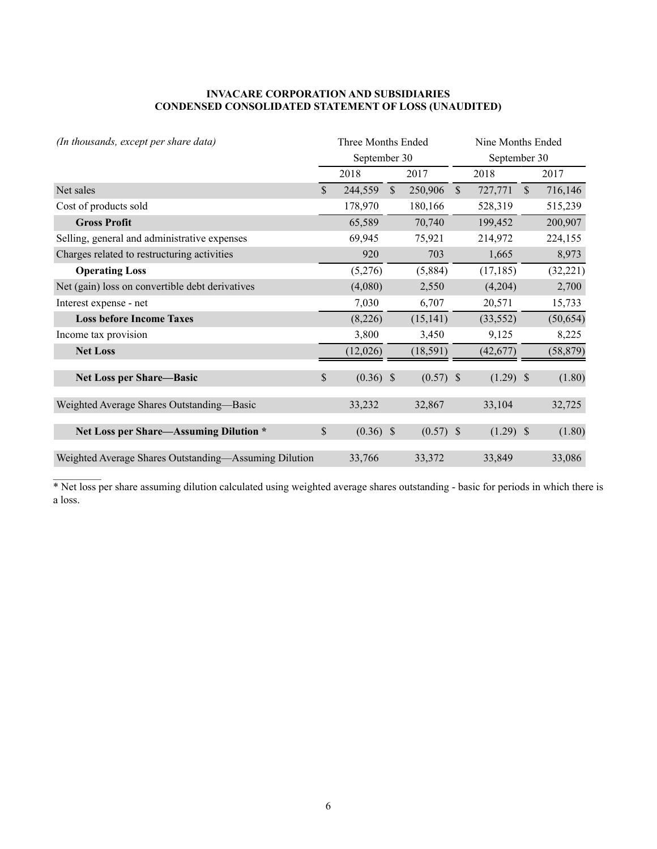#### **INVACARE CORPORATION AND SUBSIDIARIES CONDENSED CONSOLIDATED STATEMENT OF LOSS (UNAUDITED)**

| (In thousands, except per share data)                 | Three Months Ended |               |             |               | Nine Months Ended |               |           |  |  |
|-------------------------------------------------------|--------------------|---------------|-------------|---------------|-------------------|---------------|-----------|--|--|
|                                                       | September 30       |               |             |               | September 30      |               |           |  |  |
|                                                       | 2018               |               | 2017        |               | 2018              |               | 2017      |  |  |
| Net sales                                             | \$<br>244,559      | $\mathcal{S}$ | 250,906     | $\mathcal{S}$ | 727,771           | $\mathcal{S}$ | 716,146   |  |  |
| Cost of products sold                                 | 178,970            |               | 180,166     |               | 528,319           |               | 515,239   |  |  |
| <b>Gross Profit</b>                                   | 65,589             |               | 70,740      |               | 199,452           |               | 200,907   |  |  |
| Selling, general and administrative expenses          | 69,945             |               | 75,921      |               | 214,972           |               | 224,155   |  |  |
| Charges related to restructuring activities           | 920                |               | 703         |               | 1,665             |               | 8,973     |  |  |
| <b>Operating Loss</b>                                 | (5,276)            |               | (5,884)     |               | (17, 185)         |               | (32, 221) |  |  |
| Net (gain) loss on convertible debt derivatives       | (4,080)            |               | 2,550       |               | (4,204)           |               | 2,700     |  |  |
| Interest expense - net                                | 7,030              |               | 6,707       |               | 20,571            |               | 15,733    |  |  |
| <b>Loss before Income Taxes</b>                       | (8,226)            |               | (15, 141)   |               | (33, 552)         |               | (50, 654) |  |  |
| Income tax provision                                  | 3,800              |               | 3,450       |               | 9,125             |               | 8,225     |  |  |
| <b>Net Loss</b>                                       | (12,026)           |               | (18, 591)   |               | (42, 677)         |               | (58, 879) |  |  |
| <b>Net Loss per Share-Basic</b>                       | \$<br>$(0.36)$ \$  |               | $(0.57)$ \$ |               | $(1.29)$ \$       |               | (1.80)    |  |  |
| Weighted Average Shares Outstanding-Basic             | 33,232             |               | 32,867      |               | 33,104            |               | 32,725    |  |  |
| Net Loss per Share-Assuming Dilution *                | \$<br>$(0.36)$ \$  |               | $(0.57)$ \$ |               | $(1.29)$ \$       |               | (1.80)    |  |  |
| Weighted Average Shares Outstanding-Assuming Dilution | 33,766             |               | 33,372      |               | 33,849            |               | 33,086    |  |  |

\* Net loss per share assuming dilution calculated using weighted average shares outstanding - basic for periods in which there is a loss.

 $\mathcal{L}_\text{max}$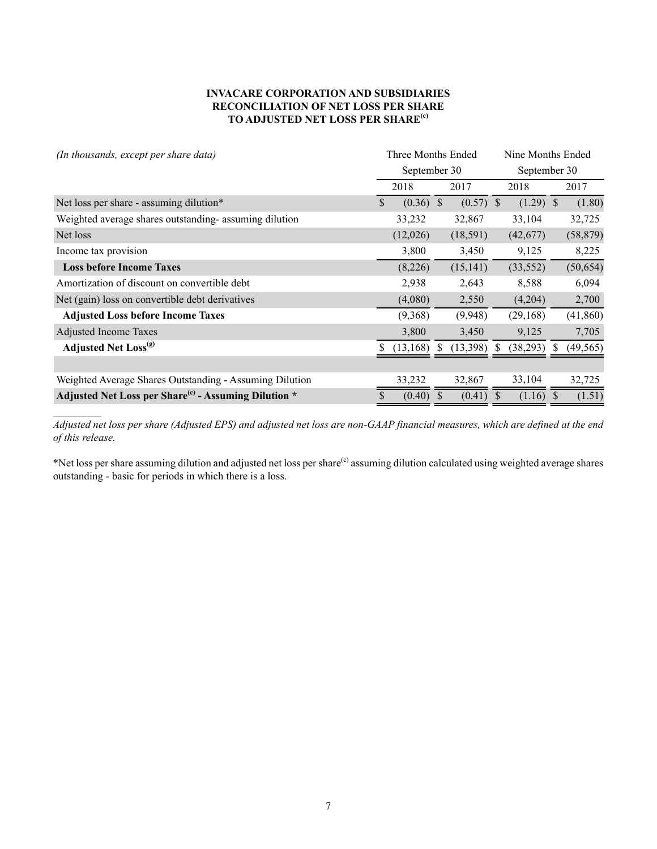#### **INVACARE CORPORATION AND SUBSIDIARIES RECONCILIATION OF NET LOSS PER SHARE TO ADJUSTED NET LOSS PER SHARE(c)**

| (In thousands, except per share data)                            |              | Three Months Ended |               |             | Nine Months Ended |              |              |           |  |
|------------------------------------------------------------------|--------------|--------------------|---------------|-------------|-------------------|--------------|--------------|-----------|--|
|                                                                  |              | September 30       |               |             |                   | September 30 |              |           |  |
|                                                                  |              | 2018               |               | 2017        |                   | 2018         |              | 2017      |  |
| Net loss per share - assuming dilution*                          | $\mathbb{S}$ | $(0.36)$ \$        |               | $(0.57)$ \$ |                   | $(1.29)$ \$  |              | (1.80)    |  |
| Weighted average shares outstanding-assuming dilution            |              | 33,232             |               | 32,867      |                   | 33,104       |              | 32,725    |  |
| Net loss                                                         |              | (12,026)           |               | (18,591)    |                   | (42,677)     |              | (58, 879) |  |
| Income tax provision                                             |              | 3,800              |               | 3,450       |                   | 9,125        |              | 8,225     |  |
| <b>Loss before Income Taxes</b>                                  |              | (8,226)            |               | (15, 141)   |                   | (33, 552)    |              | (50, 654) |  |
| Amortization of discount on convertible debt                     |              | 2,938              |               | 2,643       |                   | 8,588        |              | 6,094     |  |
| Net (gain) loss on convertible debt derivatives                  |              | (4,080)            |               | 2,550       |                   | (4,204)      |              | 2,700     |  |
| <b>Adjusted Loss before Income Taxes</b>                         |              | (9,368)            |               | (9,948)     |                   | (29, 168)    |              | (41, 860) |  |
| <b>Adjusted Income Taxes</b>                                     |              | 3,800              |               | 3,450       |                   | 9,125        |              | 7,705     |  |
| <b>Adjusted Net Loss</b> <sup>(g)</sup>                          | S.           | (13, 168)          |               | (13,398)    |                   | (38,293)     |              | (49, 565) |  |
|                                                                  |              |                    |               |             |                   |              |              |           |  |
| Weighted Average Shares Outstanding - Assuming Dilution          |              | 33,232             |               | 32,867      |                   | 33,104       |              | 32,725    |  |
| Adjusted Net Loss per Share <sup>(c)</sup> - Assuming Dilution * | S            | (0.40)             | <sup>\$</sup> | $(0.41)$ \$ |                   | (1.16)       | <sup>S</sup> | (1.51)    |  |

*Adjusted net loss per share (Adjusted EPS) and adjusted net loss are non-GAAP financial measures, which are defined at the end of this release.* 

\*Net loss per share assuming dilution and adjusted net loss per share<sup>(c)</sup> assuming dilution calculated using weighted average shares outstanding - basic for periods in which there is a loss.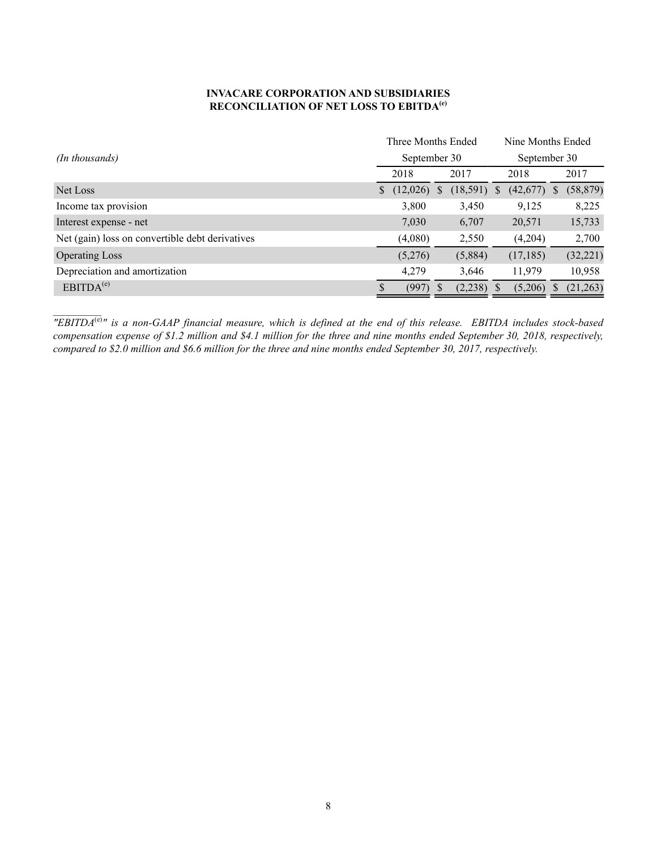#### **INVACARE CORPORATION AND SUBSIDIARIES RECONCILIATION OF NET LOSS TO EBITDA(e)**

|                                                 |   | Three Months Ended |   |          | Nine Months Ended |              |   |           |  |
|-------------------------------------------------|---|--------------------|---|----------|-------------------|--------------|---|-----------|--|
| (In thousands)                                  |   | September 30       |   |          |                   | September 30 |   |           |  |
|                                                 |   | 2018               |   | 2017     |                   | 2018         |   | 2017      |  |
| Net Loss                                        | S | (12,026)           | S | (18,591) | S                 | (42,677)     | S | (58, 879) |  |
| Income tax provision                            |   | 3,800              |   | 3,450    |                   | 9,125        |   | 8,225     |  |
| Interest expense - net                          |   | 7,030              |   | 6,707    |                   | 20,571       |   | 15,733    |  |
| Net (gain) loss on convertible debt derivatives |   | (4,080)            |   | 2,550    |                   | (4,204)      |   | 2,700     |  |
| <b>Operating Loss</b>                           |   | (5,276)            |   | (5,884)  |                   | (17, 185)    |   | (32, 221) |  |
| Depreciation and amortization                   |   | 4,279              |   | 3,646    |                   | 11,979       |   | 10,958    |  |
| EBITDA <sup>(e)</sup>                           |   | (997)              |   | (2, 238) |                   | (5,206)      |   | (21, 263) |  |

*"EBITDA*(e)*" is a non-GAAP financial measure, which is defined at the end of this release. EBITDA includes stock-based compensation expense of \$1.2 million and \$4.1 million for the three and nine months ended September 30, 2018, respectively, compared to \$2.0 million and \$6.6 million for the three and nine months ended September 30, 2017, respectively.*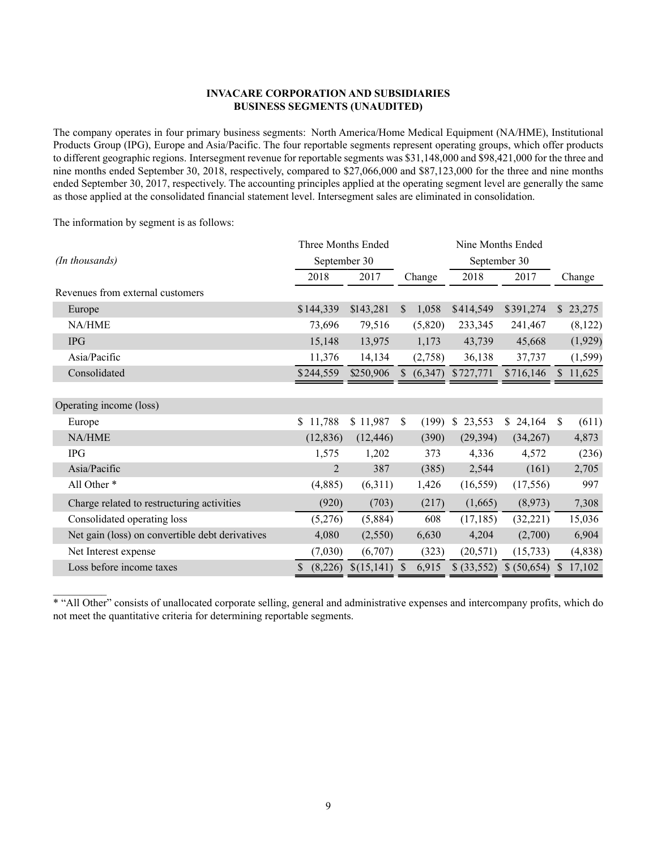#### **INVACARE CORPORATION AND SUBSIDIARIES BUSINESS SEGMENTS (UNAUDITED)**

The company operates in four primary business segments: North America/Home Medical Equipment (NA/HME), Institutional Products Group (IPG), Europe and Asia/Pacific. The four reportable segments represent operating groups, which offer products to different geographic regions. Intersegment revenue for reportable segments was \$31,148,000 and \$98,421,000 for the three and nine months ended September 30, 2018, respectively, compared to \$27,066,000 and \$87,123,000 for the three and nine months ended September 30, 2017, respectively. The accounting principles applied at the operating segment level are generally the same as those applied at the consolidated financial statement level. Intersegment sales are eliminated in consolidation.

The information by segment is as follows:

 $\mathcal{L}_\text{max}$ 

|                                                 | Three Months Ended |            |    | Nine Months Ended |                        |              |               |          |  |  |  |
|-------------------------------------------------|--------------------|------------|----|-------------------|------------------------|--------------|---------------|----------|--|--|--|
| (In thousands)                                  | September 30       |            |    |                   | September 30           |              |               |          |  |  |  |
|                                                 | 2018               | 2017       |    | Change            | 2018                   | 2017         |               | Change   |  |  |  |
| Revenues from external customers                |                    |            |    |                   |                        |              |               |          |  |  |  |
| Europe                                          | \$144,339          | \$143,281  | \$ | 1,058             | \$414,549              | \$391,274    |               | \$23,275 |  |  |  |
| <b>NA/HME</b>                                   | 73,696             | 79,516     |    | (5,820)           | 233,345                | 241,467      |               | (8,122)  |  |  |  |
| <b>IPG</b>                                      | 15,148             | 13,975     |    | 1,173             | 43,739                 | 45,668       |               | (1,929)  |  |  |  |
| Asia/Pacific                                    | 11,376             | 14,134     |    | (2,758)           | 36,138                 | 37,737       |               | (1, 599) |  |  |  |
| Consolidated                                    | \$244,559          | \$250,906  | \$ | (6,347)           | \$727,771              | \$716,146    |               | \$11,625 |  |  |  |
|                                                 |                    |            |    |                   |                        |              |               |          |  |  |  |
| Operating income (loss)                         |                    |            |    |                   |                        |              |               |          |  |  |  |
| Europe                                          | 11,788<br>\$       | \$11,987   | \$ | (199)             | 23,553<br><sup>S</sup> | \$<br>24,164 | <sup>\$</sup> | (611)    |  |  |  |
| <b>NA/HME</b>                                   | (12, 836)          | (12, 446)  |    | (390)             | (29, 394)              | (34,267)     |               | 4,873    |  |  |  |
| <b>IPG</b>                                      | 1,575              | 1,202      |    | 373               | 4,336                  | 4,572        |               | (236)    |  |  |  |
| Asia/Pacific                                    | 2                  | 387        |    | (385)             | 2,544                  | (161)        |               | 2,705    |  |  |  |
| All Other *                                     | (4,885)            | (6,311)    |    | 1,426             | (16, 559)              | (17, 556)    |               | 997      |  |  |  |
| Charge related to restructuring activities      | (920)              | (703)      |    | (217)             | (1,665)                | (8,973)      |               | 7,308    |  |  |  |
| Consolidated operating loss                     | (5,276)            | (5,884)    |    | 608               | (17, 185)              | (32, 221)    |               | 15,036   |  |  |  |
| Net gain (loss) on convertible debt derivatives | 4,080              | (2,550)    |    | 6,630             | 4,204                  | (2,700)      |               | 6,904    |  |  |  |
| Net Interest expense                            | (7,030)            | (6,707)    |    | (323)             | (20, 571)              | (15, 733)    |               | (4,838)  |  |  |  |
| Loss before income taxes                        | (8,226)            | \$(15,141) | S  | 6,915             | \$ (33,552)            | \$ (50,654)  |               | 17,102   |  |  |  |

\* "All Other" consists of unallocated corporate selling, general and administrative expenses and intercompany profits, which do not meet the quantitative criteria for determining reportable segments.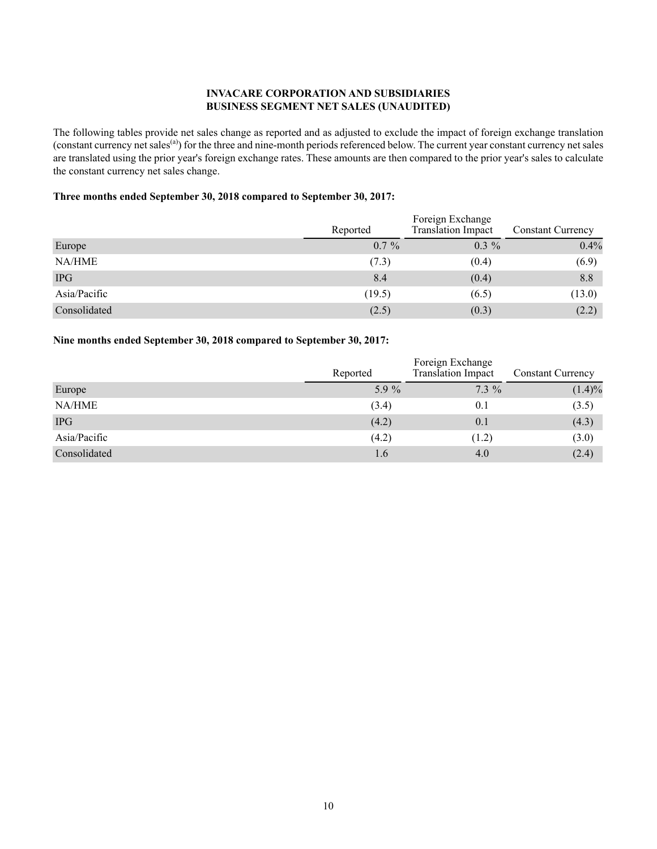#### **INVACARE CORPORATION AND SUBSIDIARIES BUSINESS SEGMENT NET SALES (UNAUDITED)**

The following tables provide net sales change as reported and as adjusted to exclude the impact of foreign exchange translation (constant currency net sales<sup>(a)</sup>) for the three and nine-month periods referenced below. The current year constant currency net sales are translated using the prior year's foreign exchange rates. These amounts are then compared to the prior year's sales to calculate the constant currency net sales change.

#### **Three months ended September 30, 2018 compared to September 30, 2017:**

|              | Reported | Foreign Exchange<br>Translation Impact | <b>Constant Currency</b> |
|--------------|----------|----------------------------------------|--------------------------|
| Europe       | $0.7\%$  | $0.3\%$                                | 0.4%                     |
| NA/HME       | (7.3)    | (0.4)                                  | (6.9)                    |
| <b>IPG</b>   | 8.4      | (0.4)                                  | 8.8                      |
| Asia/Pacific | (19.5)   | (6.5)                                  | (13.0)                   |
| Consolidated | (2.5)    | (0.3)                                  | (2.2)                    |

#### **Nine months ended September 30, 2018 compared to September 30, 2017:**

|              | Reported | Foreign Exchange<br>Translation Impact | <b>Constant Currency</b> |  |  |
|--------------|----------|----------------------------------------|--------------------------|--|--|
| Europe       | 5.9 %    | $7.3\%$                                | $(1.4)\%$                |  |  |
| NA/HME       | (3.4)    | 0.1                                    | (3.5)                    |  |  |
| <b>IPG</b>   | (4.2)    | 0.1                                    | (4.3)                    |  |  |
| Asia/Pacific | (4.2)    | (1.2)                                  | (3.0)                    |  |  |
| Consolidated | 1.6      | 4.0                                    | (2.4)                    |  |  |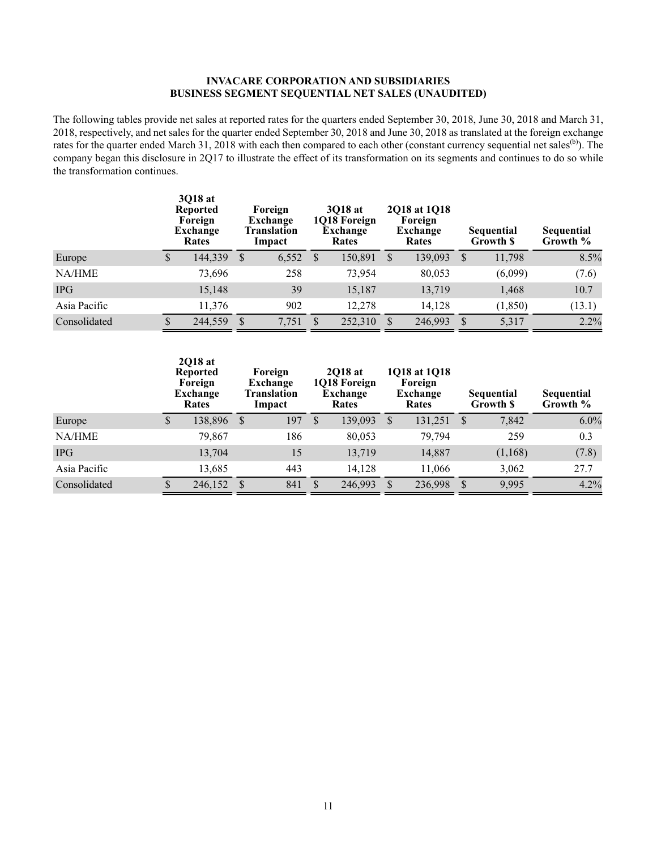#### **INVACARE CORPORATION AND SUBSIDIARIES BUSINESS SEGMENT SEQUENTIAL NET SALES (UNAUDITED)**

The following tables provide net sales at reported rates for the quarters ended September 30, 2018, June 30, 2018 and March 31, 2018, respectively, and net sales for the quarter ended September 30, 2018 and June 30, 2018 as translated at the foreign exchange rates for the quarter ended March 31, 2018 with each then compared to each other (constant currency sequential net sales<sup>(b)</sup>). The company began this disclosure in 2Q17 to illustrate the effect of its transformation on its segments and continues to do so while the transformation continues.

|              | 3018 at<br><b>Reported</b><br>Foreign<br>Exchange<br>Rates |               | Foreign<br>Exchange<br><b>Translation</b><br>Impact | 3018 at<br>1Q18 Foreign<br>Exchange<br>Rates |         | 2018 at 1018<br>Foreign<br><b>Exchange</b><br>Rates |         |              | Sequential<br>Growth \$ | Sequential<br>Growth % |
|--------------|------------------------------------------------------------|---------------|-----------------------------------------------------|----------------------------------------------|---------|-----------------------------------------------------|---------|--------------|-------------------------|------------------------|
| Europe       | 144,339                                                    | -S            | 6,552                                               | <sup>S</sup>                                 | 150,891 | <sup>S</sup>                                        | 139,093 | <sup>S</sup> | 11,798                  | 8.5%                   |
| NA/HME       | 73,696                                                     |               | 258                                                 |                                              | 73,954  |                                                     | 80,053  |              | (6,099)                 | (7.6)                  |
| <b>IPG</b>   | 15,148                                                     |               | 39                                                  |                                              | 15,187  |                                                     | 13,719  |              | 1,468                   | 10.7                   |
| Asia Pacific | 11,376                                                     |               | 902                                                 |                                              | 12,278  |                                                     | 14,128  |              | (1, 850)                | (13.1)                 |
| Consolidated | 244,559                                                    | <sup>\$</sup> | 7,751                                               | S                                            | 252,310 | <sup>\$</sup>                                       | 246,993 | <sup>S</sup> | 5,317                   | 2.2%                   |

|              | 2018 at<br><b>Reported</b><br>Foreign<br>Exchange<br>Rates |         |      | Foreign<br>Exchange<br>Translation<br>Impact |              | <b>2018</b> at<br>1Q18 Foreign<br>Exchange<br>Rates |              | 1018 at 1018<br>Foreign<br>Exchange<br><b>Rates</b> |               | Sequential<br>Growth \$ | Sequential<br>Growth % |
|--------------|------------------------------------------------------------|---------|------|----------------------------------------------|--------------|-----------------------------------------------------|--------------|-----------------------------------------------------|---------------|-------------------------|------------------------|
| Europe       | \$                                                         | 138,896 | - \$ | 197                                          | <sup>S</sup> | 139,093                                             | $\mathbb{S}$ | 131,251                                             | $\mathbf{s}$  | 7,842                   | 6.0%                   |
| NA/HME       |                                                            | 79,867  |      | 186                                          |              | 80,053                                              |              | 79,794                                              |               | 259                     | 0.3                    |
| <b>IPG</b>   |                                                            | 13,704  |      | 15                                           |              | 13,719                                              |              | 14,887                                              |               | (1,168)                 | (7.8)                  |
| Asia Pacific |                                                            | 13,685  |      | 443                                          |              | 14,128                                              |              | 11,066                                              |               | 3,062                   | 27.7                   |
| Consolidated |                                                            | 246,152 | -S   | 841                                          | <sup>S</sup> | 246,993                                             | $\mathbb{S}$ | 236,998                                             | <sup>\$</sup> | 9,995                   | 4.2%                   |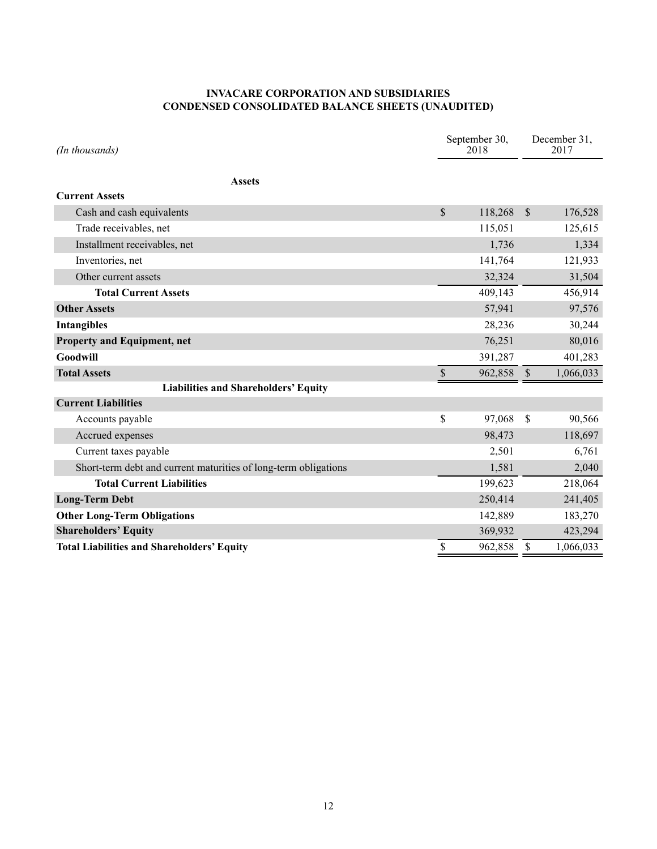### **INVACARE CORPORATION AND SUBSIDIARIES CONDENSED CONSOLIDATED BALANCE SHEETS (UNAUDITED)**

| (In thousands)                                                  | September 30,<br>2018 |         | December 31,<br>2017 |
|-----------------------------------------------------------------|-----------------------|---------|----------------------|
| <b>Assets</b>                                                   |                       |         |                      |
| <b>Current Assets</b>                                           |                       |         |                      |
| Cash and cash equivalents                                       | \$                    | 118,268 | \$<br>176,528        |
| Trade receivables, net                                          |                       | 115,051 | 125,615              |
| Installment receivables, net                                    |                       | 1,736   | 1,334                |
| Inventories, net                                                |                       | 141,764 | 121,933              |
| Other current assets                                            |                       | 32,324  | 31,504               |
| <b>Total Current Assets</b>                                     |                       | 409,143 | 456,914              |
| <b>Other Assets</b>                                             |                       | 57,941  | 97,576               |
| <b>Intangibles</b>                                              |                       | 28,236  | 30,244               |
| <b>Property and Equipment, net</b>                              |                       | 76,251  | 80,016               |
| Goodwill                                                        |                       | 391,287 | 401,283              |
| <b>Total Assets</b>                                             | \$                    | 962,858 | \$<br>1,066,033      |
| <b>Liabilities and Shareholders' Equity</b>                     |                       |         |                      |
| <b>Current Liabilities</b>                                      |                       |         |                      |
| Accounts payable                                                | \$                    | 97,068  | \$<br>90,566         |
| Accrued expenses                                                |                       | 98,473  | 118,697              |
| Current taxes payable                                           |                       | 2,501   | 6,761                |
| Short-term debt and current maturities of long-term obligations |                       | 1,581   | 2,040                |
| <b>Total Current Liabilities</b>                                |                       | 199,623 | 218,064              |
| <b>Long-Term Debt</b>                                           |                       | 250,414 | 241,405              |
| <b>Other Long-Term Obligations</b>                              |                       | 142,889 | 183,270              |
| <b>Shareholders' Equity</b>                                     |                       | 369,932 | 423,294              |
| <b>Total Liabilities and Shareholders' Equity</b>               | \$                    | 962,858 | \$<br>1,066,033      |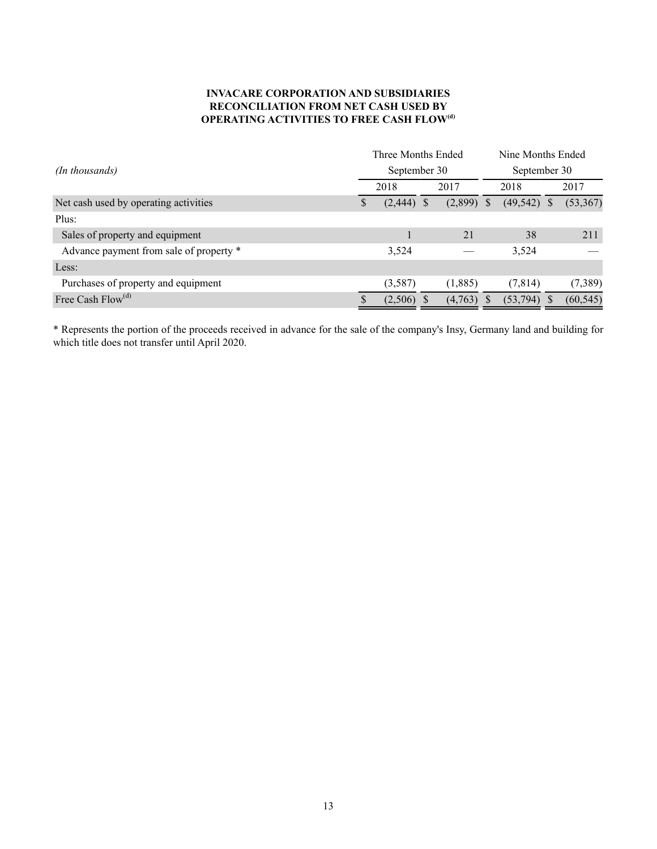#### **INVACARE CORPORATION AND SUBSIDIARIES RECONCILIATION FROM NET CASH USED BY OPERATING ACTIVITIES TO FREE CASH FLOW(d)**

|                                         |              | Three Months Ended |  |         |              | Nine Months Ended |                         |           |  |
|-----------------------------------------|--------------|--------------------|--|---------|--------------|-------------------|-------------------------|-----------|--|
| (In thousands)                          | September 30 |                    |  |         | September 30 |                   |                         |           |  |
|                                         |              | 2018               |  | 2017    |              | 2018              |                         | 2017      |  |
| Net cash used by operating activities   | S            | $(2,444)$ \$       |  | (2,899) | <sup>S</sup> | (49, 542)         | $\overline{\mathbf{s}}$ | (53, 367) |  |
| Plus:                                   |              |                    |  |         |              |                   |                         |           |  |
| Sales of property and equipment         |              |                    |  | 21      |              | 38                |                         | 211       |  |
| Advance payment from sale of property * |              | 3,524              |  |         |              | 3,524             |                         |           |  |
| Less:                                   |              |                    |  |         |              |                   |                         |           |  |
| Purchases of property and equipment     |              | (3,587)            |  | (1,885) |              | (7, 814)          |                         | (7, 389)  |  |
| Free Cash $Flow(d)$                     | \$.          | $(2,506)$ \$       |  | (4,763) |              | (53,794)          |                         | (60, 545) |  |

\* Represents the portion of the proceeds received in advance for the sale of the company's Insy, Germany land and building for which title does not transfer until April 2020.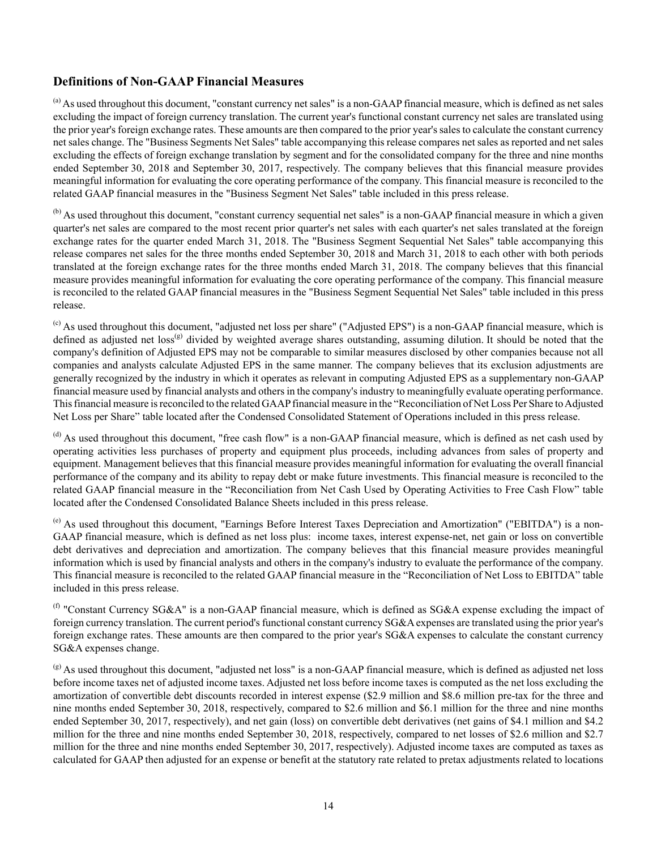### **Definitions of Non-GAAP Financial Measures**

<sup>(a)</sup> As used throughout this document, "constant currency net sales" is a non-GAAP financial measure, which is defined as net sales excluding the impact of foreign currency translation. The current year's functional constant currency net sales are translated using the prior year's foreign exchange rates. These amounts are then compared to the prior year's sales to calculate the constant currency net sales change. The "Business Segments Net Sales" table accompanying this release compares net sales as reported and net sales excluding the effects of foreign exchange translation by segment and for the consolidated company for the three and nine months ended September 30, 2018 and September 30, 2017, respectively. The company believes that this financial measure provides meaningful information for evaluating the core operating performance of the company. This financial measure is reconciled to the related GAAP financial measures in the "Business Segment Net Sales" table included in this press release.

<sup>(b)</sup> As used throughout this document, "constant currency sequential net sales" is a non-GAAP financial measure in which a given quarter's net sales are compared to the most recent prior quarter's net sales with each quarter's net sales translated at the foreign exchange rates for the quarter ended March 31, 2018. The "Business Segment Sequential Net Sales" table accompanying this release compares net sales for the three months ended September 30, 2018 and March 31, 2018 to each other with both periods translated at the foreign exchange rates for the three months ended March 31, 2018. The company believes that this financial measure provides meaningful information for evaluating the core operating performance of the company. This financial measure is reconciled to the related GAAP financial measures in the "Business Segment Sequential Net Sales" table included in this press release.

 $^{(c)}$  As used throughout this document, "adjusted net loss per share" ("Adjusted EPS") is a non-GAAP financial measure, which is defined as adjusted net loss<sup>(g)</sup> divided by weighted average shares outstanding, assuming dilution. It should be noted that the company's definition of Adjusted EPS may not be comparable to similar measures disclosed by other companies because not all companies and analysts calculate Adjusted EPS in the same manner. The company believes that its exclusion adjustments are generally recognized by the industry in which it operates as relevant in computing Adjusted EPS as a supplementary non-GAAP financial measure used by financial analysts and others in the company's industry to meaningfully evaluate operating performance. This financial measure is reconciled to the related GAAPfinancial measure in the "Reconciliation of Net Loss Per Share to Adjusted Net Loss per Share" table located after the Condensed Consolidated Statement of Operations included in this press release.

(d) As used throughout this document, "free cash flow" is a non-GAAP financial measure, which is defined as net cash used by operating activities less purchases of property and equipment plus proceeds, including advances from sales of property and equipment. Management believes that this financial measure provides meaningful information for evaluating the overall financial performance of the company and its ability to repay debt or make future investments. This financial measure is reconciled to the related GAAP financial measure in the "Reconciliation from Net Cash Used by Operating Activities to Free Cash Flow" table located after the Condensed Consolidated Balance Sheets included in this press release.

(e) As used throughout this document, "Earnings Before Interest Taxes Depreciation and Amortization" ("EBITDA") is a non-GAAP financial measure, which is defined as net loss plus: income taxes, interest expense-net, net gain or loss on convertible debt derivatives and depreciation and amortization. The company believes that this financial measure provides meaningful information which is used by financial analysts and others in the company's industry to evaluate the performance of the company. This financial measure is reconciled to the related GAAP financial measure in the "Reconciliation of Net Loss to EBITDA" table included in this press release.

(f) "Constant Currency SG&A" is a non-GAAP financial measure, which is defined as SG&A expense excluding the impact of foreign currency translation. The current period's functional constant currency SG&A expenses are translated using the prior year's foreign exchange rates. These amounts are then compared to the prior year's SG&A expenses to calculate the constant currency SG&A expenses change.

(g) As used throughout this document, "adjusted net loss" is a non-GAAP financial measure, which is defined as adjusted net loss before income taxes net of adjusted income taxes. Adjusted net loss before income taxes is computed as the net loss excluding the amortization of convertible debt discounts recorded in interest expense (\$2.9 million and \$8.6 million pre-tax for the three and nine months ended September 30, 2018, respectively, compared to \$2.6 million and \$6.1 million for the three and nine months ended September 30, 2017, respectively), and net gain (loss) on convertible debt derivatives (net gains of \$4.1 million and \$4.2 million for the three and nine months ended September 30, 2018, respectively, compared to net losses of \$2.6 million and \$2.7 million for the three and nine months ended September 30, 2017, respectively). Adjusted income taxes are computed as taxes as calculated for GAAP then adjusted for an expense or benefit at the statutory rate related to pretax adjustments related to locations